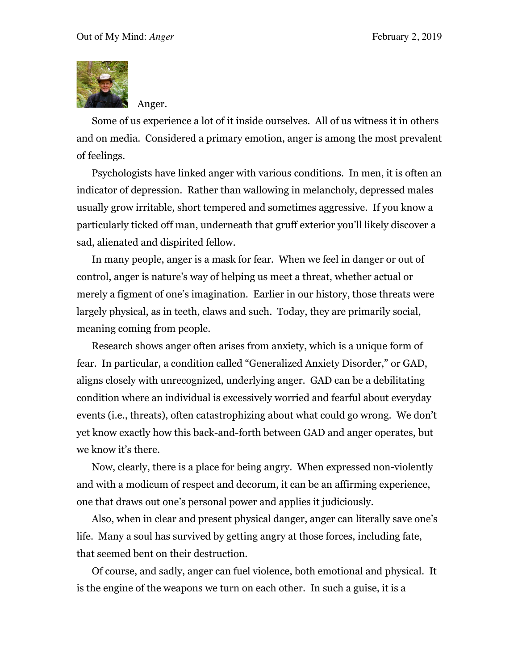

Anger.

Some of us experience a lot of it inside ourselves. All of us witness it in others and on media. Considered a primary emotion, anger is among the most prevalent of feelings.

Psychologists have linked anger with various conditions. In men, it is often an indicator of depression. Rather than wallowing in melancholy, depressed males usually grow irritable, short tempered and sometimes aggressive. If you know a particularly ticked off man, underneath that gruff exterior you'll likely discover a sad, alienated and dispirited fellow.

In many people, anger is a mask for fear. When we feel in danger or out of control, anger is nature's way of helping us meet a threat, whether actual or merely a figment of one's imagination. Earlier in our history, those threats were largely physical, as in teeth, claws and such. Today, they are primarily social, meaning coming from people.

Research shows anger often arises from anxiety, which is a unique form of fear. In particular, a condition called "Generalized Anxiety Disorder," or GAD, aligns closely with unrecognized, underlying anger. GAD can be a debilitating condition where an individual is excessively worried and fearful about everyday events (i.e., threats), often catastrophizing about what could go wrong. We don't yet know exactly how this back-and-forth between GAD and anger operates, but we know it's there.

Now, clearly, there is a place for being angry. When expressed non-violently and with a modicum of respect and decorum, it can be an affirming experience, one that draws out one's personal power and applies it judiciously.

Also, when in clear and present physical danger, anger can literally save one's life. Many a soul has survived by getting angry at those forces, including fate, that seemed bent on their destruction.

Of course, and sadly, anger can fuel violence, both emotional and physical. It is the engine of the weapons we turn on each other. In such a guise, it is a